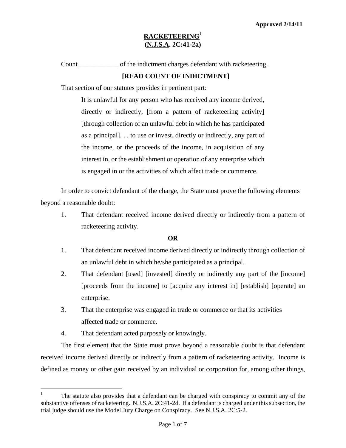Count\_\_\_\_\_\_\_\_\_\_\_\_ of the indictment charges defendant with racketeering.

### **[READ COUNT OF INDICTMENT]**

That section of our statutes provides in pertinent part:

It is unlawful for any person who has received any income derived, directly or indirectly, [from a pattern of racketeering activity] [through collection of an unlawful debt in which he has participated as a principal]. . . to use or invest, directly or indirectly, any part of the income, or the proceeds of the income, in acquisition of any interest in, or the establishment or operation of any enterprise which is engaged in or the activities of which affect trade or commerce.

In order to convict defendant of the charge, the State must prove the following elements beyond a reasonable doubt:

1. That defendant received income derived directly or indirectly from a pattern of racketeering activity.

#### **OR**

- 1. That defendant received income derived directly or indirectly through collection of an unlawful debt in which he/she participated as a principal.
- 2. That defendant [used] [invested] directly or indirectly any part of the [income] [proceeds from the income] to [acquire any interest in] [establish] [operate] an enterprise.
- 3. That the enterprise was engaged in trade or commerce or that its activities affected trade or commerce.
- 4. That defendant acted purposely or knowingly.

i<br>Li

<span id="page-0-1"></span>The first element that the State must prove beyond a reasonable doubt is that defendant received income derived directly or indirectly from a pattern of racketeering activity. Income is defined as money or other gain received by an individual or corporation for, among other things,

<span id="page-0-0"></span><sup>1</sup> The statute also provides that a defendant can be charged with conspiracy to commit any of the substantive offenses of racketeering. N.J.S.A. 2C:41-2d. If a defendant is charged under this subsection, the trial judge should use the Model Jury Charge on Conspiracy. See N.J.S.A. 2C:5-2.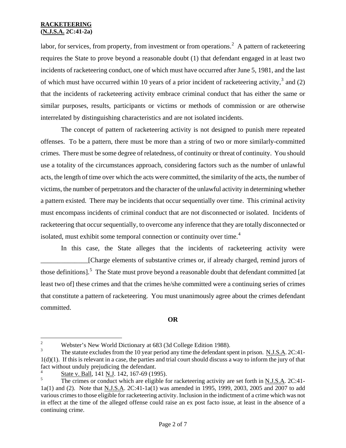interrelated by distinguishing characteristics and are not isolated incidents. labor, for services, from property, from investment or from operations.<sup>[2](#page-0-1)</sup> A pattern of racketeering requires the State to prove beyond a reasonable doubt (1) that defendant engaged in at least two incidents of racketeering conduct, one of which must have occurred after June 5, 1981, and the last of which must have occurred within 10 years of a prior incident of racketeering activity,<sup>[3](#page-1-0)</sup> and (2) that the incidents of racketeering activity embrace criminal conduct that has either the same or similar purposes, results, participants or victims or methods of commission or are otherwise

The concept of pattern of racketeering activity is not designed to punish mere repeated offenses. To be a pattern, there must be more than a string of two or more similarly-committed crimes. There must be some degree of relatedness, of continuity or threat of continuity. You should use a totality of the circumstances approach, considering factors such as the number of unlawful acts, the length of time over which the acts were committed, the similarity of the acts, the number of victims, the number of perpetrators and the character of the unlawful activity in determining whether a pattern existed. There may be incidents that occur sequentially over time. This criminal activity must encompass incidents of criminal conduct that are not disconnected or isolated. Incidents of racketeering that occur sequentially, to overcome any inference that they are totally disconnected or isolated, must exhibit some temporal connection or continuity over time. $4$ 

In this case, the State alleges that the incidents of racketeering activity were \_\_\_\_\_\_\_\_\_\_\_\_\_\_[Charge elements of substantive crimes or, if already charged, remind jurors of those definitions].<sup>[5](#page-1-2)</sup> The State must prove beyond a reasonable doubt that defendant committed [at least two of] these crimes and that the crimes he/she committed were a continuing series of crimes that constitute a pattern of racketeering. You must unanimously agree about the crimes defendant committed.

#### **OR**

 $\sqrt{2}$ <sup>2</sup> Webster's New World Dictionary at 683 (3d College Edition 1988).

<span id="page-1-3"></span><span id="page-1-0"></span><sup>3</sup> The statute excludes from the 10 year period any time the defendant spent in prison. N.J.S.A. 2C:41- 1(d)(1). If this is relevant in a case, the parties and trial court should discuss a way to inform the jury of that fact without unduly prejudicing the defendant.

<span id="page-1-1"></span> $\frac{4}{5}$  State v. Ball, 141 N.J. 142, 167-69 (1995).

<span id="page-1-2"></span>The crimes or conduct which are eligible for racketeering activity are set forth in N.J.S.A. 2C:41-1a(1) and (2). Note that N.J.S.A. 2C:41-1a(1) was amended in 1995, 1999, 2003, 2005 and 2007 to add various crimes to those eligible for racketeering activity. Inclusion in the indictment of a crime which was not in effect at the time of the alleged offense could raise an ex post facto issue, at least in the absence of a continuing crime.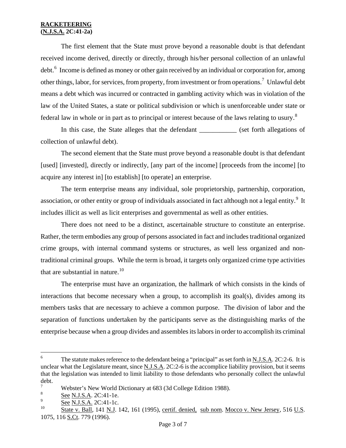The first element that the State must prove beyond a reasonable doubt is that defendant received income derived, directly or directly, through his/her personal collection of an unlawful debt.<sup>[6](#page-1-3)</sup> Income is defined as money or other gain received by an individual or corporation for, among other things, labor, for services, from property, from investment or from operations.<sup>[7](#page-2-0)</sup> Unlawful debt means a debt which was incurred or contracted in gambling activity which was in violation of the law of the United States, a state or political subdivision or which is unenforceable under state or federal law in whole or in part as to principal or interest because of the laws relating to usury.<sup>[8](#page-2-1)</sup>

In this case, the State alleges that the defendant \_\_\_\_\_\_\_\_\_\_\_ (set forth allegations of collection of unlawful debt).

The second element that the State must prove beyond a reasonable doubt is that defendant [used] [invested], directly or indirectly, [any part of the income] [proceeds from the income] [to acquire any interest in] [to establish] [to operate] an enterprise.

The term enterprise means any individual, sole proprietorship, partnership, corporation, association, or other entity or group of individuals associated in fact although not a legal entity.<sup>[9](#page-2-2)</sup> It includes illicit as well as licit enterprises and governmental as well as other entities.

There does not need to be a distinct, ascertainable structure to constitute an enterprise. Rather, the term embodies any group of persons associated in fact and includes traditional organized crime groups, with internal command systems or structures, as well less organized and nontraditional criminal groups. While the term is broad, it targets only organized crime type activities that are substantial in nature. $10$ 

The enterprise must have an organization, the hallmark of which consists in the kinds of interactions that become necessary when a group, to accomplish its goal(s), divides among its members tasks that are necessary to achieve a common purpose. The division of labor and the separation of functions undertaken by the participants serve as the distinguishing marks of the enterprise because when a group divides and assembles its labors in order to accomplish its criminal

 $6\overline{6}$ The statute makes reference to the defendant being a "principal" as set forth in N.J.S.A. 2C:2-6. It is unclear what the Legislature meant, since N.J.S.A. 2C:2-6 is the accomplice liability provision, but it seems that the legislation was intended to limit liability to those defendants who personally collect the unlawful debt.

<span id="page-2-0"></span><sup>&</sup>lt;sup>7</sup> Webster's New World Dictionary at 683 (3d College Edition 1988).

<span id="page-2-4"></span><span id="page-2-1"></span> $\frac{8}{9}$  See N.J.S.A. 2C:41-1e.

<span id="page-2-2"></span> $\frac{9}{10}$  See N.J.S.A. 2C:41-1c.

<span id="page-2-3"></span>State v. Ball, 141 N.J. 142, 161 (1995), certif. denied, sub nom. Mocco v. New Jersey, 516 U.S. 1075, 116 S.Ct. 779 (1996).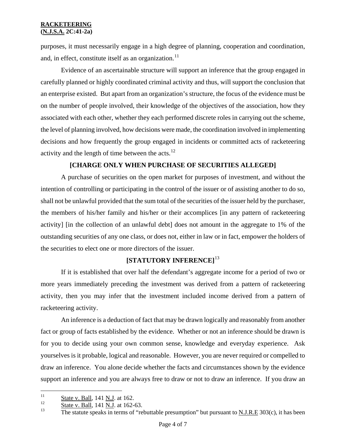purposes, it must necessarily engage in a high degree of planning, cooperation and coordination, and, in effect, constitute itself as an organization.<sup>[11](#page-2-4)</sup>

Evidence of an ascertainable structure will support an inference that the group engaged in carefully planned or highly coordinated criminal activity and thus, will support the conclusion that an enterprise existed. But apart from an organization's structure, the focus of the evidence must be on the number of people involved, their knowledge of the objectives of the association, how they associated with each other, whether they each performed discrete roles in carrying out the scheme, the level of planning involved, how decisions were made, the coordination involved in implementing decisions and how frequently the group engaged in incidents or committed acts of racketeering activity and the length of time between the acts.<sup>[12](#page-3-0)</sup>

## **[CHARGE ONLY WHEN PURCHASE OF SECURITIES ALLEGED]**

A purchase of securities on the open market for purposes of investment, and without the intention of controlling or participating in the control of the issuer or of assisting another to do so, shall not be unlawful provided that the sum total of the securities of the issuer held by the purchaser, the members of his/her family and his/her or their accomplices [in any pattern of racketeering activity] [in the collection of an unlawful debt] does not amount in the aggregate to 1% of the outstanding securities of any one class, or does not, either in law or in fact, empower the holders of the securities to elect one or more directors of the issuer.

## **[STATUTORY INFERENCE]**[13](#page-3-1)

If it is established that over half the defendant's aggregate income for a period of two or more years immediately preceding the investment was derived from a pattern of racketeering activity, then you may infer that the investment included income derived from a pattern of racketeering activity.

An inference is a deduction of fact that may be drawn logically and reasonably from another fact or group of facts established by the evidence. Whether or not an inference should be drawn is for you to decide using your own common sense, knowledge and everyday experience. Ask yourselves is it probable, logical and reasonable. However, you are never required or compelled to draw an inference. You alone decide whether the facts and circumstances shown by the evidence support an inference and you are always free to draw or not to draw an inference. If you draw an

<span id="page-3-2"></span> $11$  $\frac{11}{12}$  State v. Ball, 141 N.J. at 162.

<span id="page-3-0"></span> $\frac{12}{13}$  State v. Ball, 141 N.J. at 162-63.

<span id="page-3-1"></span>The statute speaks in terms of "rebuttable presumption" but pursuant to  $N.I.R.E$  303(c), it has been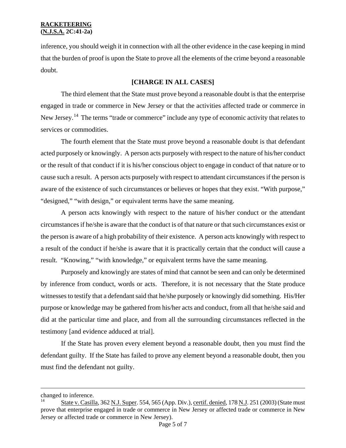inference, you should weigh it in connection with all the other evidence in the case keeping in mind that the burden of proof is upon the State to prove all the elements of the crime beyond a reasonable doubt.

### **[CHARGE IN ALL CASES]**

The third element that the State must prove beyond a reasonable doubt is that the enterprise engaged in trade or commerce in New Jersey or that the activities affected trade or commerce in New Jersey.<sup>[14](#page-3-2)</sup> The terms "trade or commerce" include any type of economic activity that relates to services or commodities.

The fourth element that the State must prove beyond a reasonable doubt is that defendant acted purposely or knowingly. A person acts purposely with respect to the nature of his/her conduct or the result of that conduct if it is his/her conscious object to engage in conduct of that nature or to cause such a result. A person acts purposely with respect to attendant circumstances if the person is aware of the existence of such circumstances or believes or hopes that they exist. "With purpose," "designed," "with design," or equivalent terms have the same meaning.

A person acts knowingly with respect to the nature of his/her conduct or the attendant circumstances if he/she is aware that the conduct is of that nature or that such circumstances exist or the person is aware of a high probability of their existence. A person acts knowingly with respect to a result of the conduct if he/she is aware that it is practically certain that the conduct will cause a result. "Knowing," "with knowledge," or equivalent terms have the same meaning.

Purposely and knowingly are states of mind that cannot be seen and can only be determined by inference from conduct, words or acts. Therefore, it is not necessary that the State produce witnesses to testify that a defendant said that he/she purposely or knowingly did something. His/Her purpose or knowledge may be gathered from his/her acts and conduct, from all that he/she said and did at the particular time and place, and from all the surrounding circumstances reflected in the testimony [and evidence adduced at trial].

If the State has proven every element beyond a reasonable doubt, then you must find the defendant guilty. If the State has failed to prove any element beyond a reasonable doubt, then you must find the defendant not guilty.

<span id="page-4-0"></span>i<br>Li

changed to inference.

State v. Casilla, 362 N.J. Super. 554, 565 (App. Div.), certif. denied, 178 N.J. 251 (2003) (State must prove that enterprise engaged in trade or commerce in New Jersey or affected trade or commerce in New Jersey or affected trade or commerce in New Jersey).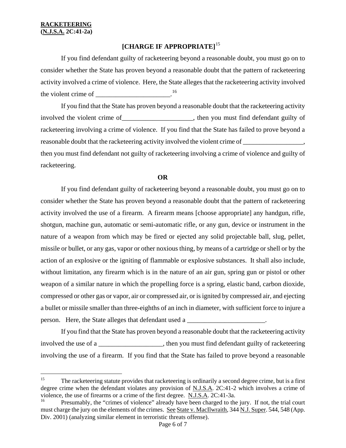# **[CHARGE IF APPROPRIATE]**[15](#page-4-0)

If you find defendant guilty of racketeering beyond a reasonable doubt, you must go on to consider whether the State has proven beyond a reasonable doubt that the pattern of racketeering activity involved a crime of violence. Here, the State alleges that the racketeering activity involved the violent crime of  $\frac{16}{100}$  $\frac{16}{100}$  $\frac{16}{100}$ 

If you find that the State has proven beyond a reasonable doubt that the racketeering activity involved the violent crime of\_\_\_\_\_\_\_\_\_\_\_\_\_\_\_\_\_\_\_\_\_, then you must find defendant guilty of racketeering involving a crime of violence. If you find that the State has failed to prove beyond a reasonable doubt that the racketeering activity involved the violent crime of \_\_\_\_\_\_\_\_\_\_\_\_\_\_, then you must find defendant not guilty of racketeering involving a crime of violence and guilty of racketeering.

#### **OR**

If you find defendant guilty of racketeering beyond a reasonable doubt, you must go on to consider whether the State has proven beyond a reasonable doubt that the pattern of racketeering activity involved the use of a firearm. A firearm means [choose appropriate] any handgun, rifle, shotgun, machine gun, automatic or semi-automatic rifle, or any gun, device or instrument in the nature of a weapon from which may be fired or ejected any solid projectable ball, slug, pellet, missile or bullet, or any gas, vapor or other noxious thing, by means of a cartridge or shell or by the action of an explosive or the igniting of flammable or explosive substances. It shall also include, without limitation, any firearm which is in the nature of an air gun, spring gun or pistol or other weapon of a similar nature in which the propelling force is a spring, elastic band, carbon dioxide, compressed or other gas or vapor, air or compressed air, or is ignited by compressed air, and ejecting a bullet or missile smaller than three-eighths of an inch in diameter, with sufficient force to injure a person. Here, the State alleges that defendant used a \_\_\_\_\_\_\_\_\_\_\_\_\_\_\_\_\_\_\_\_\_\_\_\_\_.

If you find that the State has proven beyond a reasonable doubt that the racketeering activity involved the use of a \_\_\_\_\_\_\_\_\_\_\_\_\_\_\_\_\_\_\_, then you must find defendant guilty of racketeering involving the use of a firearm. If you find that the State has failed to prove beyond a reasonable

 $15\,$ The racketeering statute provides that racketeering is ordinarily a second degree crime, but is a first degree crime when the defendant violates any provision of N.J.S.A. 2C:41-2 which involves a crime of violence, the use of firearms or a crime of the first degree. N.J.S.A. 2C:41-3a.

<span id="page-5-0"></span><sup>16</sup> Presumably, the "crimes of violence" already have been charged to the jury. If not, the trial court must charge the jury on the elements of the crimes. See State v. MacIlwraith, 344 N.J. Super. 544, 548 (App. Div. 2001) (analyzing similar element in terroristic threats offense).